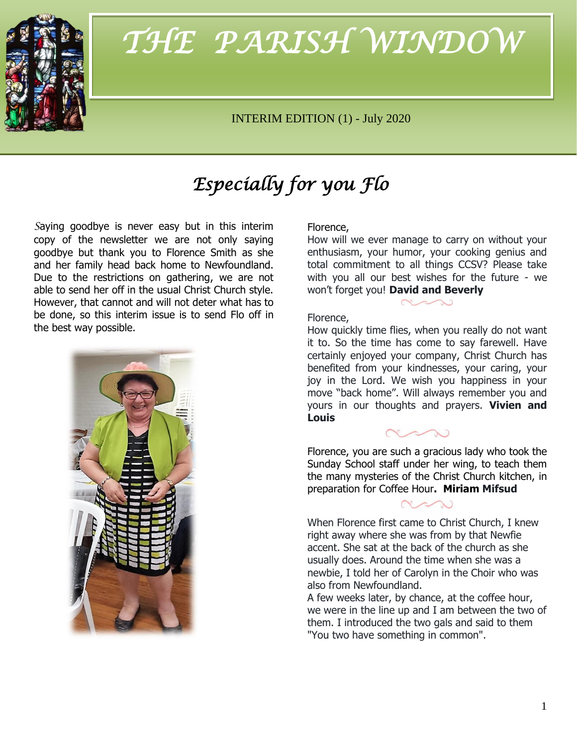

# THE PARISH WINDOW *THE PARISH WINDOW*

## INTERIM EDITION (1) - July 2020

# *Especially for you Flo*

*S*aying goodbye is never easy but in this interim copy of the newsletter we are not only saying goodbye but thank you to Florence Smith as she and her family head back home to Newfoundland. Due to the restrictions on gathering, we are not able to send her off in the usual Christ Church style. However, that cannot and will not deter what has to be done, so this interim issue is to send Flo off in the best way possible.



#### Florence,

How will we ever manage to carry on without your enthusiasm, your humor, your cooking genius and total commitment to all things CCSV? Please take with you all our best wishes for the future - we won't forget you! **David and Beverly**

## Florence,

How quickly time flies, when you really do not want it to. So the time has come to say farewell. Have certainly enjoyed your company, Christ Church has benefited from your kindnesses, your caring, your joy in the Lord. We wish you happiness in your move "back home". Will always remember you and yours in our thoughts and prayers. **Vivien and Louis**

Florence, you are such a gracious lady who took the Sunday School staff under her wing, to teach them the many mysteries of the Christ Church kitchen, in preparation for Coffee Hour**. Miriam Mifsud**

When Florence first came to Christ Church, I knew right away where she was from by that Newfie accent. She sat at the back of the church as she usually does. Around the time when she was a newbie, I told her of Carolyn in the Choir who was also from Newfoundland.

A few weeks later, by chance, at the coffee hour, we were in the line up and I am between the two of them. I introduced the two gals and said to them "You two have something in common".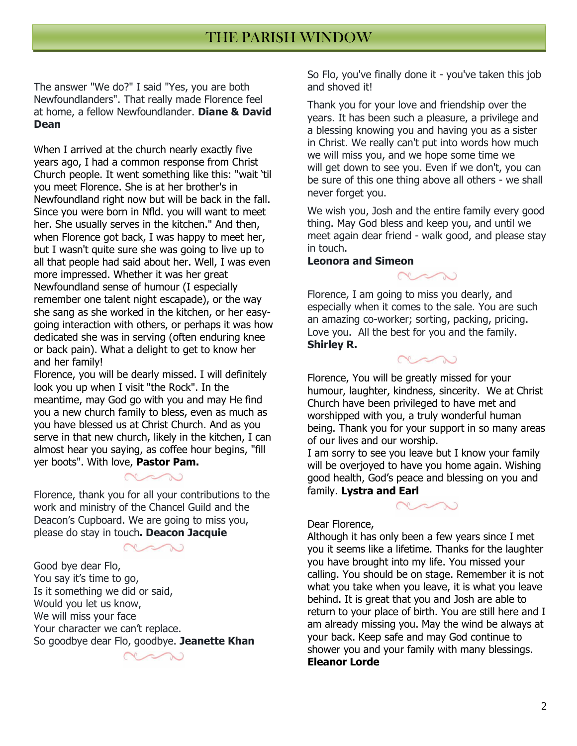The answer "We do?" I said "Yes, you are both Newfoundlanders". That really made Florence feel at home, a fellow Newfoundlander. **Diane & David Dean**

When I arrived at the church nearly exactly five years ago, I had a common response from Christ Church people. It went something like this: "wait 'til you meet Florence. She is at her brother's in Newfoundland right now but will be back in the fall. Since you were born in Nfld. you will want to meet her. She usually serves in the kitchen." And then, when Florence got back, I was happy to meet her, but I wasn't quite sure she was going to live up to all that people had said about her. Well, I was even more impressed. Whether it was her great Newfoundland sense of humour (I especially remember one talent night escapade), or the way she sang as she worked in the kitchen, or her easygoing interaction with others, or perhaps it was how dedicated she was in serving (often enduring knee or back pain). What a delight to get to know her and her family!

Florence, you will be dearly missed. I will definitely look you up when I visit "the Rock". In the meantime, may God go with you and may He find you a new church family to bless, even as much as you have blessed us at Christ Church. And as you serve in that new church, likely in the kitchen, I can almost hear you saying, as coffee hour begins, "fill yer boots". With love, **Pastor Pam.**

Florence, thank you for all your contributions to the work and ministry of the Chancel Guild and the Deacon's Cupboard. We are going to miss you, please do stay in touch**. Deacon Jacquie**

Good bye dear Flo, You say it's time to go, Is it something we did or said, Would you let us know, We will miss your face Your character we can't replace. So goodbye dear Flo, goodbye. **Jeanette Khan**

So Flo, you've finally done it - you've taken this job and shoved it!

Thank you for your love and friendship over the years. It has been such a pleasure, a privilege and a blessing knowing you and having you as a sister in Christ. We really can't put into words how much we will miss you, and we hope some time we will get down to see you. Even if we don't, you can be sure of this one thing above all others - we shall never forget you.

We wish you, Josh and the entire family every good thing. May God bless and keep you, and until we meet again dear friend - walk good, and please stay in touch.

#### **Leonora and Simeon**

Florence, I am going to miss you dearly, and especially when it comes to the sale. You are such an amazing co-worker; sorting, packing, pricing. Love you. All the best for you and the family. **Shirley R.**

Florence, You will be greatly missed for your humour, laughter, kindness, sincerity. We at Christ Church have been privileged to have met and worshipped with you, a truly wonderful human being. Thank you for your support in so many areas of our lives and our worship.

I am sorry to see you leave but I know your family will be overjoyed to have you home again. Wishing good health, God's peace and blessing on you and family. **Lystra and Earl**



#### Dear Florence,

Although it has only been a few years since I met you it seems like a lifetime. Thanks for the laughter you have brought into my life. You missed your calling. You should be on stage. Remember it is not what you take when you leave, it is what you leave behind. It is great that you and Josh are able to return to your place of birth. You are still here and I am already missing you. May the wind be always at your back. Keep safe and may God continue to shower you and your family with many blessings. **Eleanor Lorde**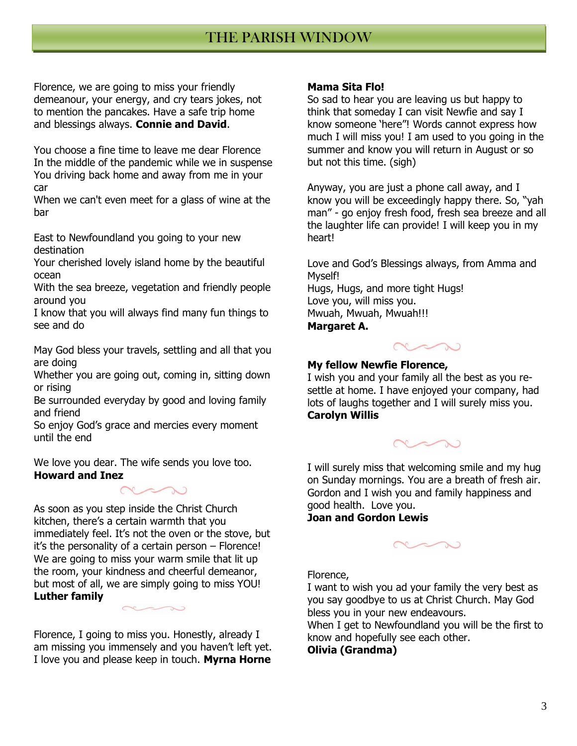# THE PARISH WINDOW THE PARISH WINDOW

Florence, we are going to miss your friendly demeanour, your energy, and cry tears jokes, not to mention the pancakes. Have a safe trip home and blessings always. **Connie and David**.

You choose a fine time to leave me dear Florence In the middle of the pandemic while we in suspense You driving back home and away from me in your car

When we can't even meet for a glass of wine at the bar

East to Newfoundland you going to your new destination

Your cherished lovely island home by the beautiful ocean

With the sea breeze, vegetation and friendly people around you

I know that you will always find many fun things to see and do

May God bless your travels, settling and all that you are doing

Whether you are going out, coming in, sitting down or rising

Be surrounded everyday by good and loving family and friend

So enjoy God's grace and mercies every moment until the end

We love you dear. The wife sends you love too. **Howard and Inez**



As soon as you step inside the Christ Church kitchen, there's a certain warmth that you immediately feel. It's not the oven or the stove, but it's the personality of a certain person – Florence! We are going to miss your warm smile that lit up the room, your kindness and cheerful demeanor, but most of all, we are simply going to miss YOU! **Luther family**

Florence, I going to miss you. Honestly, already I am missing you immensely and you haven't left yet. I love you and please keep in touch. **Myrna Horne**

### **Mama Sita Flo!**

So sad to hear you are leaving us but happy to think that someday I can visit Newfie and say I know someone 'here"! Words cannot express how much I will miss you! I am used to you going in the summer and know you will return in August or so but not this time. (sigh)

Anyway, you are just a phone call away, and I know you will be exceedingly happy there. So, "yah man" - go enjoy fresh food, fresh sea breeze and all the laughter life can provide! I will keep you in my heart!

Love and God's Blessings always, from Amma and Myself! Hugs, Hugs, and more tight Hugs! Love you, will miss you. Mwuah, Mwuah, Mwuah!!! **Margaret A.**



### **My fellow Newfie Florence,**

I wish you and your family all the best as you resettle at home. I have enjoyed your company, had lots of laughs together and I will surely miss you. **Carolyn Willis**



I will surely miss that welcoming smile and my hug on Sunday mornings. You are a breath of fresh air. Gordon and I wish you and family happiness and good health. Love you.

**Joan and Gordon Lewis**



Florence,

I want to wish you ad your family the very best as you say goodbye to us at Christ Church. May God bless you in your new endeavours.

When I get to Newfoundland you will be the first to know and hopefully see each other.

### **Olivia (Grandma)**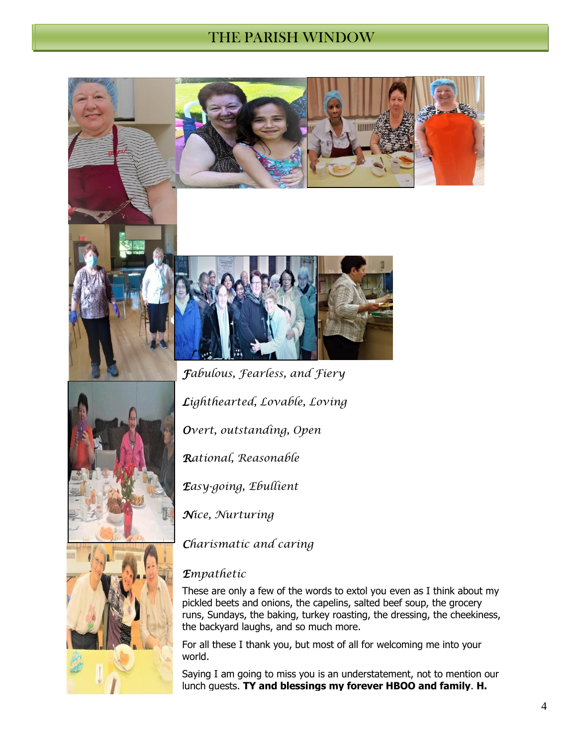# THE PARISH WINDOW THE PARISH WINDOW







*Lighthearted, Lovable, Loving*

*Overt, outstanding, Open*

*Rational, Reasonable*

*Easy-going, Ebullient*

*Nice, Nurturing*

*Charismatic and caring*

### *Empathetic*

These are only a few of the words to extol you even as I think about my pickled beets and onions, the capelins, salted beef soup, the grocery runs, Sundays, the baking, turkey roasting, the dressing, the cheekiness, the backyard laughs, and so much more.

For all these I thank you, but most of all for welcoming me into your world.

Saying I am going to miss you is an understatement, not to mention our lunch guests. **TY and blessings my forever HBOO and family**. **H.**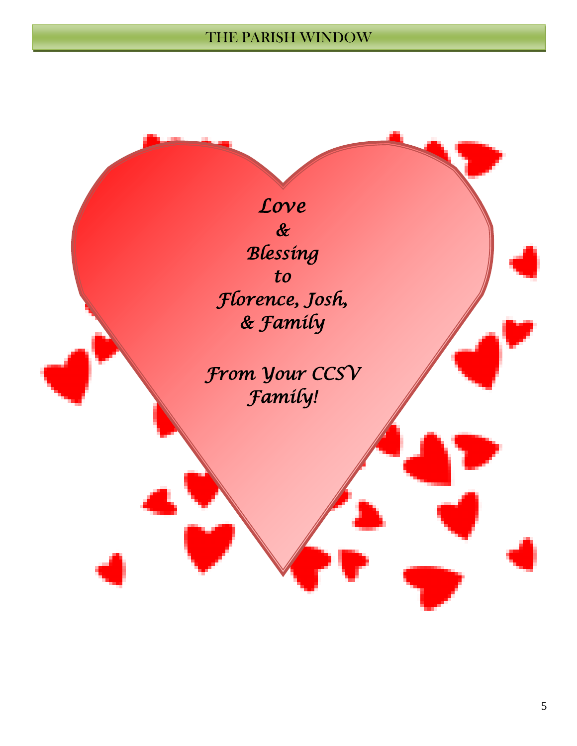# THE PARISH WINDOW